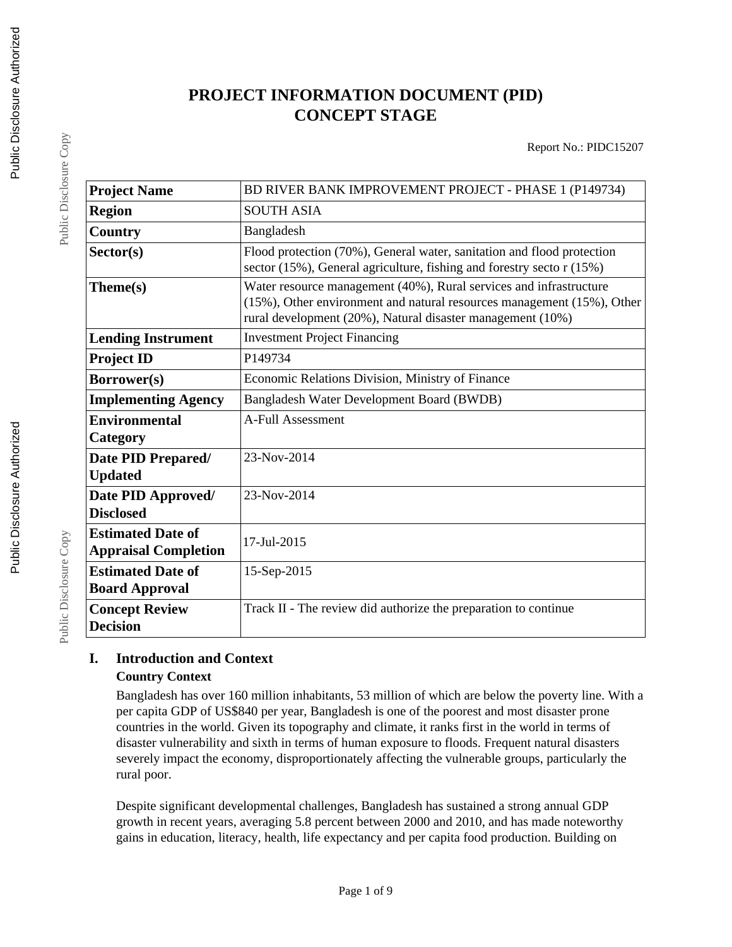# **PROJECT INFORMATION DOCUMENT (PID) CONCEPT STAGE**

Report No.: PIDC15207

| <b>Project Name</b>                                     | BD RIVER BANK IMPROVEMENT PROJECT - PHASE 1 (P149734)                                                                                                                                                      |
|---------------------------------------------------------|------------------------------------------------------------------------------------------------------------------------------------------------------------------------------------------------------------|
| <b>Region</b>                                           | <b>SOUTH ASIA</b>                                                                                                                                                                                          |
| <b>Country</b>                                          | Bangladesh                                                                                                                                                                                                 |
| Sector(s)                                               | Flood protection (70%), General water, sanitation and flood protection<br>sector (15%), General agriculture, fishing and forestry sector (15%)                                                             |
| Theme(s)                                                | Water resource management (40%), Rural services and infrastructure<br>(15%), Other environment and natural resources management (15%), Other<br>rural development (20%), Natural disaster management (10%) |
| <b>Lending Instrument</b>                               | <b>Investment Project Financing</b>                                                                                                                                                                        |
| <b>Project ID</b>                                       | P149734                                                                                                                                                                                                    |
| Borrower(s)                                             | Economic Relations Division, Ministry of Finance                                                                                                                                                           |
| <b>Implementing Agency</b>                              | Bangladesh Water Development Board (BWDB)                                                                                                                                                                  |
| <b>Environmental</b>                                    | <b>A-Full Assessment</b>                                                                                                                                                                                   |
| Category                                                |                                                                                                                                                                                                            |
| Date PID Prepared/<br><b>Updated</b>                    | 23-Nov-2014                                                                                                                                                                                                |
| Date PID Approved/<br><b>Disclosed</b>                  | 23-Nov-2014                                                                                                                                                                                                |
| <b>Estimated Date of</b><br><b>Appraisal Completion</b> | 17-Jul-2015                                                                                                                                                                                                |
| <b>Estimated Date of</b><br><b>Board Approval</b>       | 15-Sep-2015                                                                                                                                                                                                |
| <b>Concept Review</b><br><b>Decision</b>                | Track II - The review did authorize the preparation to continue                                                                                                                                            |

### **I. Introduction and Context Country Context**

Bangladesh has over 160 million inhabitants, 53 million of which are below the poverty line. With a per capita GDP of US\$840 per year, Bangladesh is one of the poorest and most disaster prone countries in the world. Given its topography and climate, it ranks first in the world in terms of disaster vulnerability and sixth in terms of human exposure to floods. Frequent natural disasters severely impact the economy, disproportionately affecting the vulnerable groups, particularly the rural poor.

Despite significant developmental challenges, Bangladesh has sustained a strong annual GDP growth in recent years, averaging 5.8 percent between 2000 and 2010, and has made noteworthy gains in education, literacy, health, life expectancy and per capita food production. Building on

Public Disclosure Copy

Public Disclosure Copy

Public Disclosure Copy

Public Disclosure Copy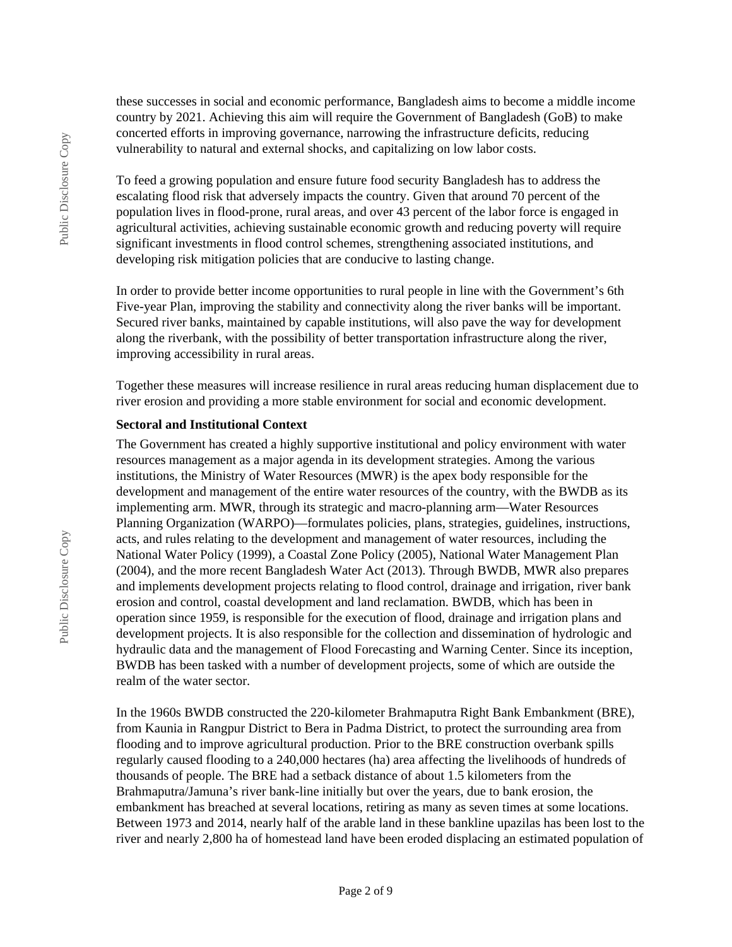these successes in social and economic performance, Bangladesh aims to become a middle income country by 2021. Achieving this aim will require the Government of Bangladesh (GoB) to make concerted efforts in improving governance, narrowing the infrastructure deficits, reducing vulnerability to natural and external shocks, and capitalizing on low labor costs.

To feed a growing population and ensure future food security Bangladesh has to address the escalating flood risk that adversely impacts the country. Given that around 70 percent of the population lives in flood-prone, rural areas, and over 43 percent of the labor force is engaged in agricultural activities, achieving sustainable economic growth and reducing poverty will require significant investments in flood control schemes, strengthening associated institutions, and developing risk mitigation policies that are conducive to lasting change.

In order to provide better income opportunities to rural people in line with the Government's 6th Five-year Plan, improving the stability and connectivity along the river banks will be important. Secured river banks, maintained by capable institutions, will also pave the way for development along the riverbank, with the possibility of better transportation infrastructure along the river, improving accessibility in rural areas.

Together these measures will increase resilience in rural areas reducing human displacement due to river erosion and providing a more stable environment for social and economic development.

#### **Sectoral and Institutional Context**

The Government has created a highly supportive institutional and policy environment with water resources management as a major agenda in its development strategies. Among the various institutions, the Ministry of Water Resources (MWR) is the apex body responsible for the development and management of the entire water resources of the country, with the BWDB as its implementing arm. MWR, through its strategic and macro-planning arm—Water Resources Planning Organization (WARPO)—formulates policies, plans, strategies, guidelines, instructions, acts, and rules relating to the development and management of water resources, including the National Water Policy (1999), a Coastal Zone Policy (2005), National Water Management Plan (2004), and the more recent Bangladesh Water Act (2013). Through BWDB, MWR also prepares and implements development projects relating to flood control, drainage and irrigation, river bank erosion and control, coastal development and land reclamation. BWDB, which has been in operation since 1959, is responsible for the execution of flood, drainage and irrigation plans and development projects. It is also responsible for the collection and dissemination of hydrologic and hydraulic data and the management of Flood Forecasting and Warning Center. Since its inception, BWDB has been tasked with a number of development projects, some of which are outside the realm of the water sector.

In the 1960s BWDB constructed the 220-kilometer Brahmaputra Right Bank Embankment (BRE), from Kaunia in Rangpur District to Bera in Padma District, to protect the surrounding area from flooding and to improve agricultural production. Prior to the BRE construction overbank spills regularly caused flooding to a 240,000 hectares (ha) area affecting the livelihoods of hundreds of thousands of people. The BRE had a setback distance of about 1.5 kilometers from the Brahmaputra/Jamuna's river bank-line initially but over the years, due to bank erosion, the embankment has breached at several locations, retiring as many as seven times at some locations. Between 1973 and 2014, nearly half of the arable land in these bankline upazilas has been lost to the river and nearly 2,800 ha of homestead land have been eroded displacing an estimated population of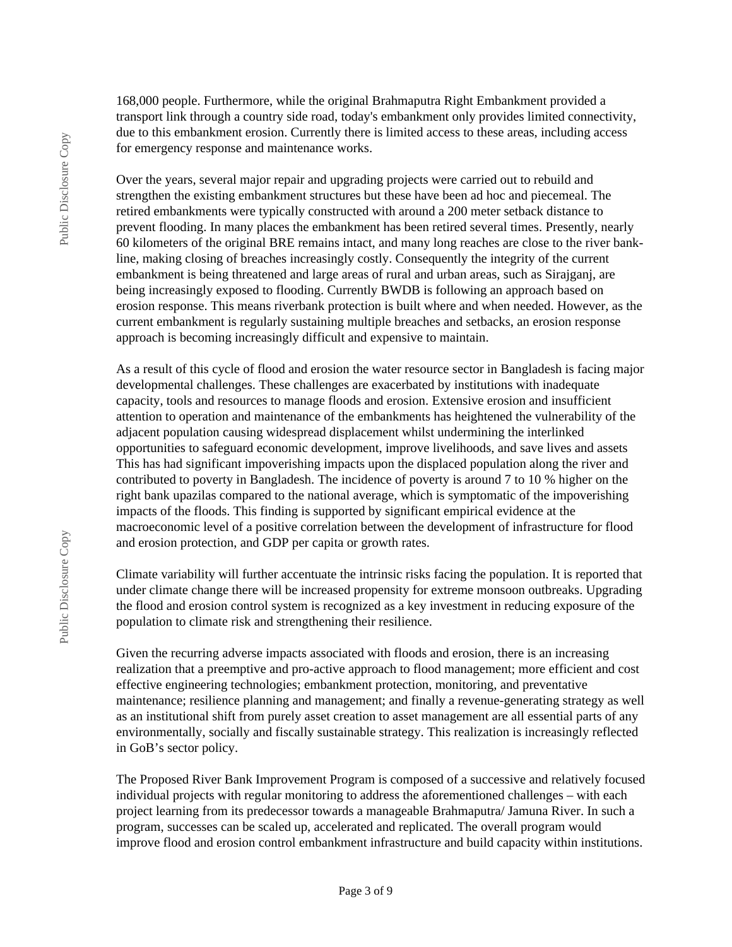168,000 people. Furthermore, while the original Brahmaputra Right Embankment provided a transport link through a country side road, today's embankment only provides limited connectivity, due to this embankment erosion. Currently there is limited access to these areas, including access for emergency response and maintenance works.

Over the years, several major repair and upgrading projects were carried out to rebuild and strengthen the existing embankment structures but these have been ad hoc and piecemeal. The retired embankments were typically constructed with around a 200 meter setback distance to prevent flooding. In many places the embankment has been retired several times. Presently, nearly 60 kilometers of the original BRE remains intact, and many long reaches are close to the river bankline, making closing of breaches increasingly costly. Consequently the integrity of the current embankment is being threatened and large areas of rural and urban areas, such as Sirajganj, are being increasingly exposed to flooding. Currently BWDB is following an approach based on erosion response. This means riverbank protection is built where and when needed. However, as the current embankment is regularly sustaining multiple breaches and setbacks, an erosion response approach is becoming increasingly difficult and expensive to maintain.

As a result of this cycle of flood and erosion the water resource sector in Bangladesh is facing major developmental challenges. These challenges are exacerbated by institutions with inadequate capacity, tools and resources to manage floods and erosion. Extensive erosion and insufficient attention to operation and maintenance of the embankments has heightened the vulnerability of the adjacent population causing widespread displacement whilst undermining the interlinked opportunities to safeguard economic development, improve livelihoods, and save lives and assets This has had significant impoverishing impacts upon the displaced population along the river and contributed to poverty in Bangladesh. The incidence of poverty is around 7 to 10 % higher on the right bank upazilas compared to the national average, which is symptomatic of the impoverishing impacts of the floods. This finding is supported by significant empirical evidence at the macroeconomic level of a positive correlation between the development of infrastructure for flood and erosion protection, and GDP per capita or growth rates.

Climate variability will further accentuate the intrinsic risks facing the population. It is reported that under climate change there will be increased propensity for extreme monsoon outbreaks. Upgrading the flood and erosion control system is recognized as a key investment in reducing exposure of the population to climate risk and strengthening their resilience.

Given the recurring adverse impacts associated with floods and erosion, there is an increasing realization that a preemptive and pro-active approach to flood management; more efficient and cost effective engineering technologies; embankment protection, monitoring, and preventative maintenance; resilience planning and management; and finally a revenue-generating strategy as well as an institutional shift from purely asset creation to asset management are all essential parts of any environmentally, socially and fiscally sustainable strategy. This realization is increasingly reflected in GoB's sector policy.

The Proposed River Bank Improvement Program is composed of a successive and relatively focused individual projects with regular monitoring to address the aforementioned challenges – with each project learning from its predecessor towards a manageable Brahmaputra/ Jamuna River. In such a program, successes can be scaled up, accelerated and replicated. The overall program would improve flood and erosion control embankment infrastructure and build capacity within institutions.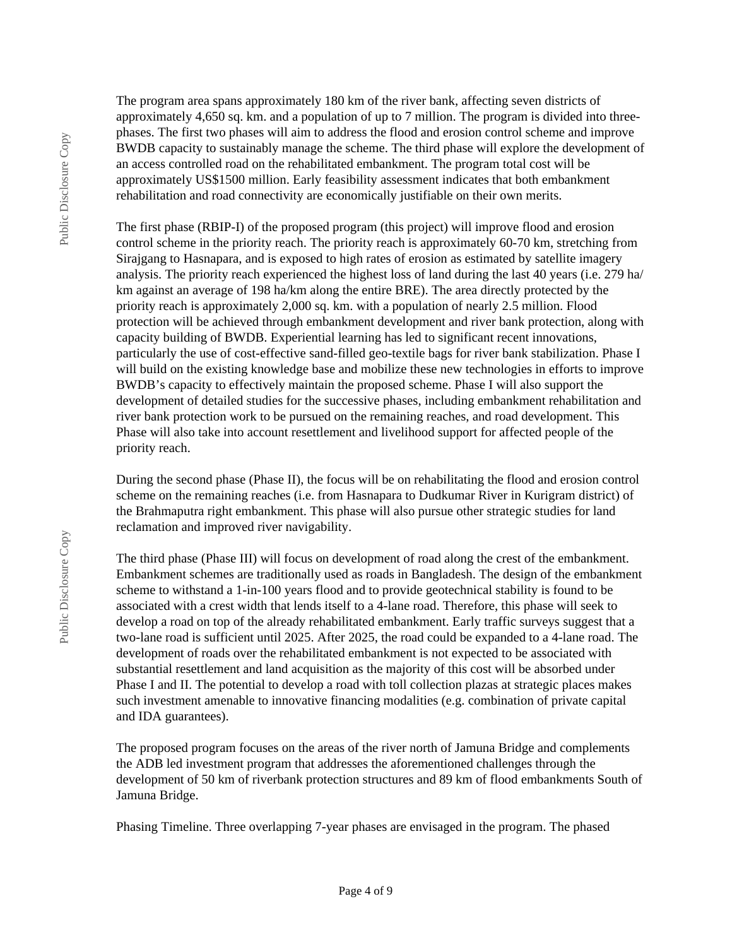The program area spans approximately 180 km of the river bank, affecting seven districts of approximately 4,650 sq. km. and a population of up to 7 million. The program is divided into threephases. The first two phases will aim to address the flood and erosion control scheme and improve BWDB capacity to sustainably manage the scheme. The third phase will explore the development of an access controlled road on the rehabilitated embankment. The program total cost will be approximately US\$1500 million. Early feasibility assessment indicates that both embankment rehabilitation and road connectivity are economically justifiable on their own merits.

The first phase (RBIP-I) of the proposed program (this project) will improve flood and erosion control scheme in the priority reach. The priority reach is approximately 60-70 km, stretching from Sirajgang to Hasnapara, and is exposed to high rates of erosion as estimated by satellite imagery analysis. The priority reach experienced the highest loss of land during the last 40 years (i.e. 279 ha/ km against an average of 198 ha/km along the entire BRE). The area directly protected by the priority reach is approximately 2,000 sq. km. with a population of nearly 2.5 million. Flood protection will be achieved through embankment development and river bank protection, along with capacity building of BWDB. Experiential learning has led to significant recent innovations, particularly the use of cost-effective sand-filled geo-textile bags for river bank stabilization. Phase I will build on the existing knowledge base and mobilize these new technologies in efforts to improve BWDB's capacity to effectively maintain the proposed scheme. Phase I will also support the development of detailed studies for the successive phases, including embankment rehabilitation and river bank protection work to be pursued on the remaining reaches, and road development. This Phase will also take into account resettlement and livelihood support for affected people of the priority reach.

During the second phase (Phase II), the focus will be on rehabilitating the flood and erosion control scheme on the remaining reaches (i.e. from Hasnapara to Dudkumar River in Kurigram district) of the Brahmaputra right embankment. This phase will also pursue other strategic studies for land reclamation and improved river navigability.

The third phase (Phase III) will focus on development of road along the crest of the embankment. Embankment schemes are traditionally used as roads in Bangladesh. The design of the embankment scheme to withstand a 1-in-100 years flood and to provide geotechnical stability is found to be associated with a crest width that lends itself to a 4-lane road. Therefore, this phase will seek to develop a road on top of the already rehabilitated embankment. Early traffic surveys suggest that a two-lane road is sufficient until 2025. After 2025, the road could be expanded to a 4-lane road. The development of roads over the rehabilitated embankment is not expected to be associated with substantial resettlement and land acquisition as the majority of this cost will be absorbed under Phase I and II. The potential to develop a road with toll collection plazas at strategic places makes such investment amenable to innovative financing modalities (e.g. combination of private capital and IDA guarantees).

The proposed program focuses on the areas of the river north of Jamuna Bridge and complements the ADB led investment program that addresses the aforementioned challenges through the development of 50 km of riverbank protection structures and 89 km of flood embankments South of Jamuna Bridge.

Phasing Timeline. Three overlapping 7-year phases are envisaged in the program. The phased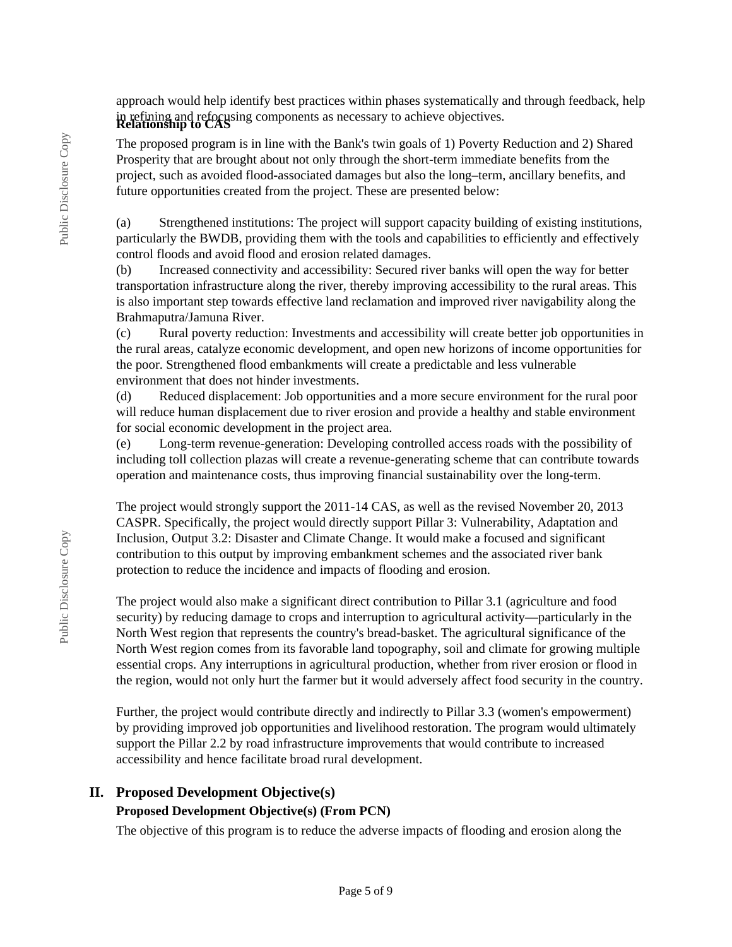approach would help identify best practices within phases systematically and through feedback, help in refining and refocusing components as necessary to achieve objectives. **Relationship to CAS**

The proposed program is in line with the Bank's twin goals of 1) Poverty Reduction and 2) Shared Prosperity that are brought about not only through the short-term immediate benefits from the project, such as avoided flood-associated damages but also the long–term, ancillary benefits, and future opportunities created from the project. These are presented below:

(a) Strengthened institutions: The project will support capacity building of existing institutions, particularly the BWDB, providing them with the tools and capabilities to efficiently and effectively control floods and avoid flood and erosion related damages.

(b) Increased connectivity and accessibility: Secured river banks will open the way for better transportation infrastructure along the river, thereby improving accessibility to the rural areas. This is also important step towards effective land reclamation and improved river navigability along the Brahmaputra/Jamuna River.

(c) Rural poverty reduction: Investments and accessibility will create better job opportunities in the rural areas, catalyze economic development, and open new horizons of income opportunities for the poor. Strengthened flood embankments will create a predictable and less vulnerable environment that does not hinder investments.

(d) Reduced displacement: Job opportunities and a more secure environment for the rural poor will reduce human displacement due to river erosion and provide a healthy and stable environment for social economic development in the project area.

(e) Long-term revenue-generation: Developing controlled access roads with the possibility of including toll collection plazas will create a revenue-generating scheme that can contribute towards operation and maintenance costs, thus improving financial sustainability over the long-term.

The project would strongly support the 2011-14 CAS, as well as the revised November 20, 2013 CASPR. Specifically, the project would directly support Pillar 3: Vulnerability, Adaptation and Inclusion, Output 3.2: Disaster and Climate Change. It would make a focused and significant contribution to this output by improving embankment schemes and the associated river bank protection to reduce the incidence and impacts of flooding and erosion.

The project would also make a significant direct contribution to Pillar 3.1 (agriculture and food security) by reducing damage to crops and interruption to agricultural activity—particularly in the North West region that represents the country's bread-basket. The agricultural significance of the North West region comes from its favorable land topography, soil and climate for growing multiple essential crops. Any interruptions in agricultural production, whether from river erosion or flood in the region, would not only hurt the farmer but it would adversely affect food security in the country.

Further, the project would contribute directly and indirectly to Pillar 3.3 (women's empowerment) by providing improved job opportunities and livelihood restoration. The program would ultimately support the Pillar 2.2 by road infrastructure improvements that would contribute to increased accessibility and hence facilitate broad rural development.

#### **II. Proposed Development Objective(s) Proposed Development Objective(s) (From PCN)**

The objective of this program is to reduce the adverse impacts of flooding and erosion along the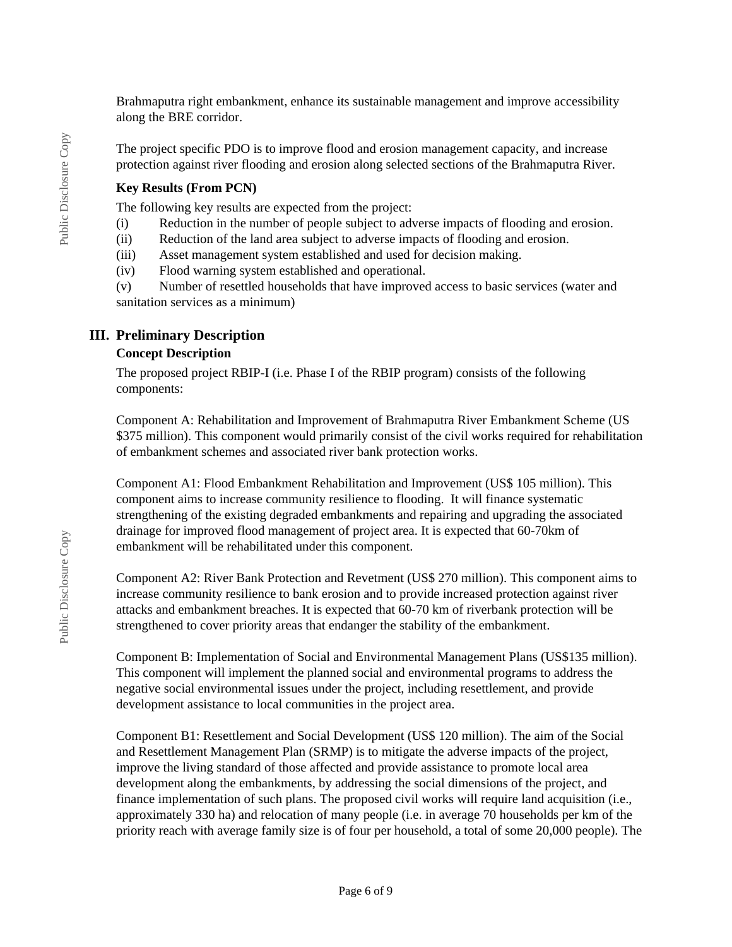Brahmaputra right embankment, enhance its sustainable management and improve accessibility along the BRE corridor.

The project specific PDO is to improve flood and erosion management capacity, and increase protection against river flooding and erosion along selected sections of the Brahmaputra River.

#### **Key Results (From PCN)**

The following key results are expected from the project:

(i) Reduction in the number of people subject to adverse impacts of flooding and erosion.

(ii) Reduction of the land area subject to adverse impacts of flooding and erosion.

(iii) Asset management system established and used for decision making.

(iv) Flood warning system established and operational.

(v) Number of resettled households that have improved access to basic services (water and sanitation services as a minimum)

#### **III. Preliminary Description**

#### **Concept Description**

The proposed project RBIP-I (i.e. Phase I of the RBIP program) consists of the following components:

Component A: Rehabilitation and Improvement of Brahmaputra River Embankment Scheme (US \$375 million). This component would primarily consist of the civil works required for rehabilitation of embankment schemes and associated river bank protection works.

Component A1: Flood Embankment Rehabilitation and Improvement (US\$ 105 million). This component aims to increase community resilience to flooding. It will finance systematic strengthening of the existing degraded embankments and repairing and upgrading the associated drainage for improved flood management of project area. It is expected that 60-70km of embankment will be rehabilitated under this component.

Component A2: River Bank Protection and Revetment (US\$ 270 million). This component aims to increase community resilience to bank erosion and to provide increased protection against river attacks and embankment breaches. It is expected that 60-70 km of riverbank protection will be strengthened to cover priority areas that endanger the stability of the embankment.

Component B: Implementation of Social and Environmental Management Plans (US\$135 million). This component will implement the planned social and environmental programs to address the negative social environmental issues under the project, including resettlement, and provide development assistance to local communities in the project area.

Component B1: Resettlement and Social Development (US\$ 120 million). The aim of the Social and Resettlement Management Plan (SRMP) is to mitigate the adverse impacts of the project, improve the living standard of those affected and provide assistance to promote local area development along the embankments, by addressing the social dimensions of the project, and finance implementation of such plans. The proposed civil works will require land acquisition (i.e., approximately 330 ha) and relocation of many people (i.e. in average 70 households per km of the priority reach with average family size is of four per household, a total of some 20,000 people). The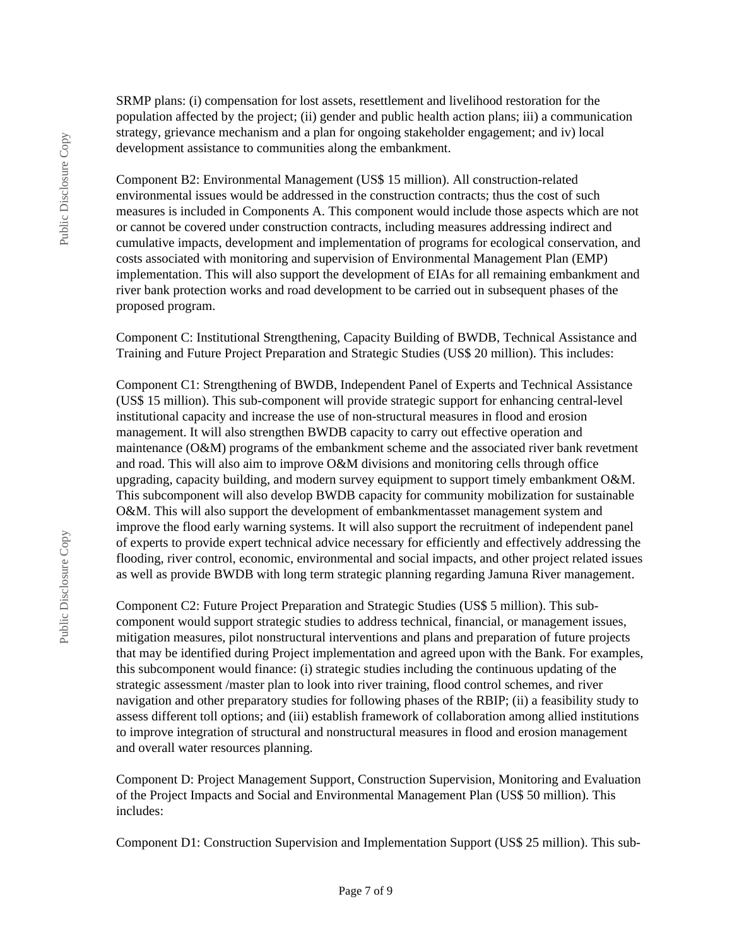SRMP plans: (i) compensation for lost assets, resettlement and livelihood restoration for the population affected by the project; (ii) gender and public health action plans; iii) a communication strategy, grievance mechanism and a plan for ongoing stakeholder engagement; and iv) local development assistance to communities along the embankment.

Component B2: Environmental Management (US\$ 15 million). All construction-related environmental issues would be addressed in the construction contracts; thus the cost of such measures is included in Components A. This component would include those aspects which are not or cannot be covered under construction contracts, including measures addressing indirect and cumulative impacts, development and implementation of programs for ecological conservation, and costs associated with monitoring and supervision of Environmental Management Plan (EMP) implementation. This will also support the development of EIAs for all remaining embankment and river bank protection works and road development to be carried out in subsequent phases of the proposed program.

Component C: Institutional Strengthening, Capacity Building of BWDB, Technical Assistance and Training and Future Project Preparation and Strategic Studies (US\$ 20 million). This includes:

Component C1: Strengthening of BWDB, Independent Panel of Experts and Technical Assistance (US\$ 15 million). This sub-component will provide strategic support for enhancing central-level institutional capacity and increase the use of non-structural measures in flood and erosion management. It will also strengthen BWDB capacity to carry out effective operation and maintenance (O&M) programs of the embankment scheme and the associated river bank revetment and road. This will also aim to improve O&M divisions and monitoring cells through office upgrading, capacity building, and modern survey equipment to support timely embankment O&M. This subcomponent will also develop BWDB capacity for community mobilization for sustainable O&M. This will also support the development of embankmentasset management system and improve the flood early warning systems. It will also support the recruitment of independent panel of experts to provide expert technical advice necessary for efficiently and effectively addressing the flooding, river control, economic, environmental and social impacts, and other project related issues as well as provide BWDB with long term strategic planning regarding Jamuna River management.

Component C2: Future Project Preparation and Strategic Studies (US\$ 5 million). This subcomponent would support strategic studies to address technical, financial, or management issues, mitigation measures, pilot nonstructural interventions and plans and preparation of future projects that may be identified during Project implementation and agreed upon with the Bank. For examples, this subcomponent would finance: (i) strategic studies including the continuous updating of the strategic assessment /master plan to look into river training, flood control schemes, and river navigation and other preparatory studies for following phases of the RBIP; (ii) a feasibility study to assess different toll options; and (iii) establish framework of collaboration among allied institutions to improve integration of structural and nonstructural measures in flood and erosion management and overall water resources planning.

Component D: Project Management Support, Construction Supervision, Monitoring and Evaluation of the Project Impacts and Social and Environmental Management Plan (US\$ 50 million). This includes:

Component D1: Construction Supervision and Implementation Support (US\$ 25 million). This sub-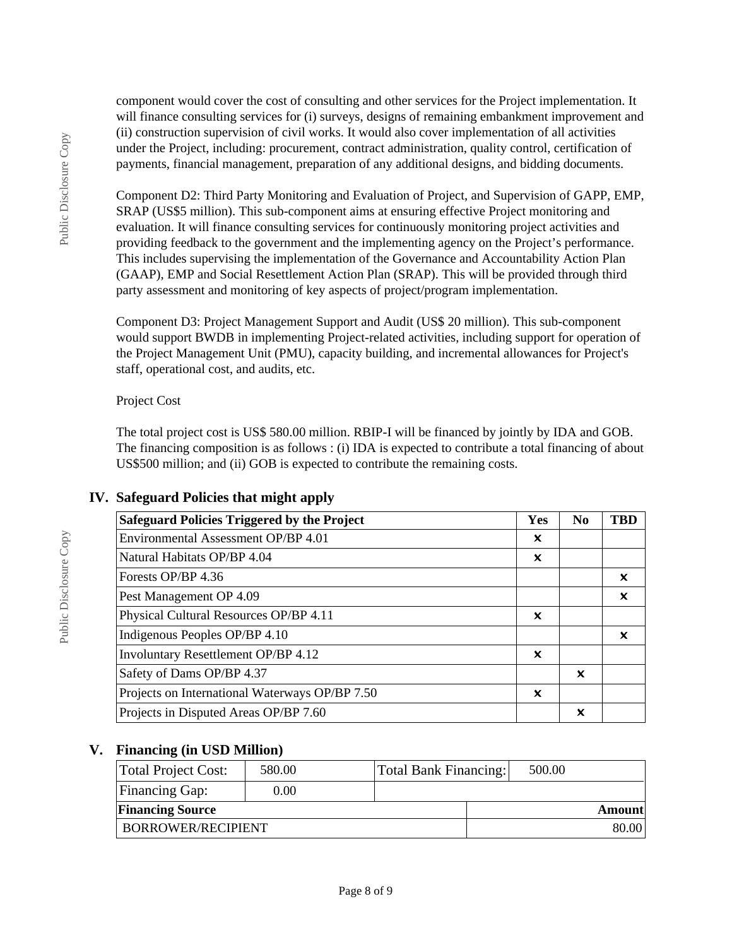component would cover the cost of consulting and other services for the Project implementation. It will finance consulting services for (i) surveys, designs of remaining embankment improvement and (ii) construction supervision of civil works. It would also cover implementation of all activities under the Project, including: procurement, contract administration, quality control, certification of payments, financial management, preparation of any additional designs, and bidding documents.

Component D2: Third Party Monitoring and Evaluation of Project, and Supervision of GAPP, EMP, SRAP (US\$5 million). This sub-component aims at ensuring effective Project monitoring and evaluation. It will finance consulting services for continuously monitoring project activities and providing feedback to the government and the implementing agency on the Project's performance. This includes supervising the implementation of the Governance and Accountability Action Plan (GAAP), EMP and Social Resettlement Action Plan (SRAP). This will be provided through third party assessment and monitoring of key aspects of project/program implementation.

Component D3: Project Management Support and Audit (US\$ 20 million). This sub-component would support BWDB in implementing Project-related activities, including support for operation of the Project Management Unit (PMU), capacity building, and incremental allowances for Project's staff, operational cost, and audits, etc.

#### Project Cost

The total project cost is US\$ 580.00 million. RBIP-I will be financed by jointly by IDA and GOB. The financing composition is as follows : (i) IDA is expected to contribute a total financing of about US\$500 million; and (ii) GOB is expected to contribute the remaining costs.

| <b>Safeguard Policies Triggered by the Project</b> | Yes | N <sub>0</sub> | <b>TBD</b> |
|----------------------------------------------------|-----|----------------|------------|
| Environmental Assessment OP/BP 4.01                | ×   |                |            |
| Natural Habitats OP/BP 4.04                        | x   |                |            |
| Forests OP/BP 4.36                                 |     |                | ×          |
| Pest Management OP 4.09                            |     |                | ×          |
| Physical Cultural Resources OP/BP 4.11             | ×   |                |            |
| Indigenous Peoples OP/BP 4.10                      |     |                | ×          |
| <b>Involuntary Resettlement OP/BP 4.12</b>         | x   |                |            |
| Safety of Dams OP/BP 4.37                          |     | ×              |            |
| Projects on International Waterways OP/BP 7.50     | X   |                |            |
| Projects in Disputed Areas OP/BP 7.60              |     | x              |            |

### **IV. Safeguard Policies that might apply**

### **V. Financing (in USD Million)**

| Total Project Cost:       | 580.00 |  | <b>Total Bank Financing:</b> | 500.00 |  |
|---------------------------|--------|--|------------------------------|--------|--|
| <b>Financing Gap:</b>     | 0.00   |  |                              |        |  |
| <b>Financing Source</b>   |        |  | Amount                       |        |  |
| <b>BORROWER/RECIPIENT</b> |        |  |                              | 80.00  |  |